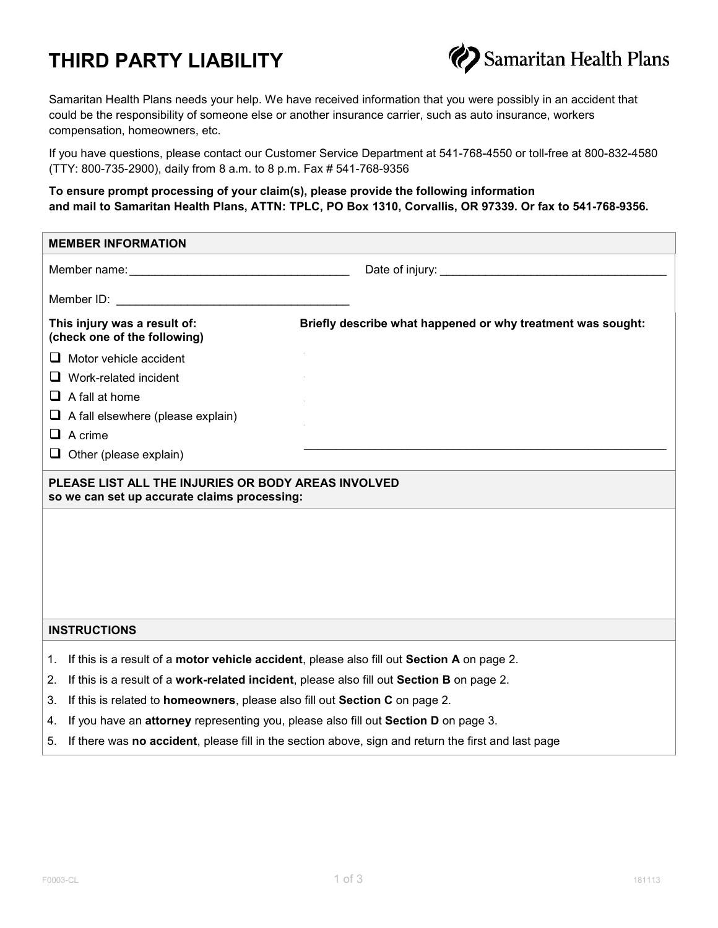## **THIRD PARTY LIABILITY**



Samaritan Health Plans needs your help. We have received information that you were possibly in an accident that could be the responsibility of someone else or another insurance carrier, such as auto insurance, workers compensation, homeowners, etc.

If you have questions, please contact our Customer Service Department at 541-768-4550 or toll-free at 800-832-4580 (TTY: 800-735-2900), daily from 8 a.m. to 8 p.m. Fax # 541-768-9356

## **To ensure prompt processing of your claim(s), please provide the following information and mail to Samaritan Health Plans, ATTN: TPLC, PO Box 1310, Corvallis, OR 97339. Or fax to 541-768-9356.**

| <b>MEMBER INFORMATION</b>                                                                                                                                                                                                      |                                                                                                                                                                                                                                |                                                                                                     |  |  |  |
|--------------------------------------------------------------------------------------------------------------------------------------------------------------------------------------------------------------------------------|--------------------------------------------------------------------------------------------------------------------------------------------------------------------------------------------------------------------------------|-----------------------------------------------------------------------------------------------------|--|--|--|
| Member name: The contract of the contract of the contract of the contract of the contract of the contract of the contract of the contract of the contract of the contract of the contract of the contract of the contract of t |                                                                                                                                                                                                                                |                                                                                                     |  |  |  |
|                                                                                                                                                                                                                                | Member ID: The contract of the contract of the contract of the contract of the contract of the contract of the contract of the contract of the contract of the contract of the contract of the contract of the contract of the |                                                                                                     |  |  |  |
| This injury was a result of:<br>(check one of the following)                                                                                                                                                                   |                                                                                                                                                                                                                                | Briefly describe what happened or why treatment was sought:                                         |  |  |  |
| ப                                                                                                                                                                                                                              | Motor vehicle accident                                                                                                                                                                                                         |                                                                                                     |  |  |  |
| ப                                                                                                                                                                                                                              | Work-related incident                                                                                                                                                                                                          |                                                                                                     |  |  |  |
|                                                                                                                                                                                                                                | $\Box$ A fall at home                                                                                                                                                                                                          |                                                                                                     |  |  |  |
| ⊔                                                                                                                                                                                                                              | A fall elsewhere (please explain)                                                                                                                                                                                              |                                                                                                     |  |  |  |
|                                                                                                                                                                                                                                | $\Box$ A crime                                                                                                                                                                                                                 |                                                                                                     |  |  |  |
|                                                                                                                                                                                                                                | $\Box$ Other (please explain)                                                                                                                                                                                                  | the control of the control of the control of the control of the control of the control of           |  |  |  |
| PLEASE LIST ALL THE INJURIES OR BODY AREAS INVOLVED<br>so we can set up accurate claims processing:                                                                                                                            |                                                                                                                                                                                                                                |                                                                                                     |  |  |  |
|                                                                                                                                                                                                                                |                                                                                                                                                                                                                                |                                                                                                     |  |  |  |
|                                                                                                                                                                                                                                |                                                                                                                                                                                                                                |                                                                                                     |  |  |  |
|                                                                                                                                                                                                                                |                                                                                                                                                                                                                                |                                                                                                     |  |  |  |
| <b>INSTRUCTIONS</b>                                                                                                                                                                                                            |                                                                                                                                                                                                                                |                                                                                                     |  |  |  |
| 1.                                                                                                                                                                                                                             |                                                                                                                                                                                                                                | If this is a result of a motor vehicle accident, please also fill out Section A on page 2.          |  |  |  |
| 2.                                                                                                                                                                                                                             | If this is a result of a work-related incident, please also fill out Section B on page 2.                                                                                                                                      |                                                                                                     |  |  |  |
| 3.                                                                                                                                                                                                                             | If this is related to homeowners, please also fill out Section C on page 2.                                                                                                                                                    |                                                                                                     |  |  |  |
| 4.                                                                                                                                                                                                                             | If you have an attorney representing you, please also fill out Section D on page 3.                                                                                                                                            |                                                                                                     |  |  |  |
| 5.                                                                                                                                                                                                                             |                                                                                                                                                                                                                                | If there was no accident, please fill in the section above, sign and return the first and last page |  |  |  |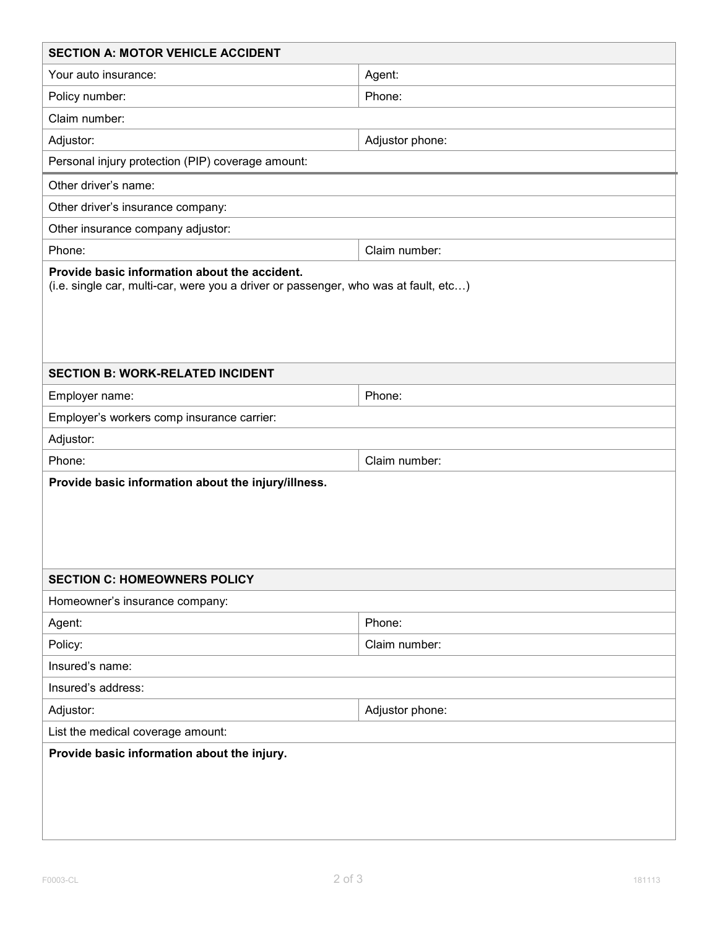| <b>SECTION A: MOTOR VEHICLE ACCIDENT</b>            |                 |  |  |  |  |
|-----------------------------------------------------|-----------------|--|--|--|--|
| Your auto insurance:                                | Agent:          |  |  |  |  |
| Policy number:                                      | Phone:          |  |  |  |  |
| Claim number:                                       |                 |  |  |  |  |
| Adjustor:                                           | Adjustor phone: |  |  |  |  |
| Personal injury protection (PIP) coverage amount:   |                 |  |  |  |  |
| Other driver's name:                                |                 |  |  |  |  |
| Other driver's insurance company:                   |                 |  |  |  |  |
| Other insurance company adjustor:                   |                 |  |  |  |  |
| Phone:                                              | Claim number:   |  |  |  |  |
| <b>SECTION B: WORK-RELATED INCIDENT</b>             |                 |  |  |  |  |
| Employer name:                                      | Phone:          |  |  |  |  |
| Employer's workers comp insurance carrier:          |                 |  |  |  |  |
| Adjustor:                                           |                 |  |  |  |  |
| Phone:                                              | Claim number:   |  |  |  |  |
| Provide basic information about the injury/illness. |                 |  |  |  |  |
|                                                     |                 |  |  |  |  |
| <b>SECTION C: HOMEOWNERS POLICY</b>                 |                 |  |  |  |  |
| Homeowner's insurance company:<br>Agent:            | Phone:          |  |  |  |  |
| Policy:                                             | Claim number:   |  |  |  |  |
| Insured's name:                                     |                 |  |  |  |  |
| Insured's address:                                  |                 |  |  |  |  |
| Adjustor:                                           | Adjustor phone: |  |  |  |  |
| List the medical coverage amount:                   |                 |  |  |  |  |
| Provide basic information about the injury.         |                 |  |  |  |  |
|                                                     |                 |  |  |  |  |